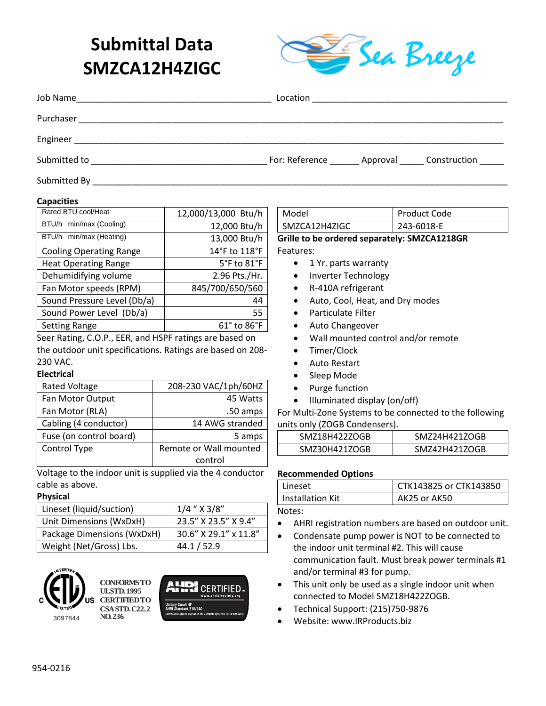# **Submittal Data SMZCA12H4ZIGC**



| Job Name<br><u> 1999 - Johann John Stone, mars eta biztanleria (h. 1908).</u> |                                                     |  |
|-------------------------------------------------------------------------------|-----------------------------------------------------|--|
| Purchaser                                                                     |                                                     |  |
|                                                                               |                                                     |  |
| Submitted to                                                                  | For: Reference _______ Approval ______ Construction |  |
| Submitted By                                                                  |                                                     |  |

#### **Capacities**

| 12,000/13,000 Btu/h             |  |  |
|---------------------------------|--|--|
| 12,000 Btu/h                    |  |  |
| 13,000 Btu/h                    |  |  |
| 14°F to 118°F                   |  |  |
| $5^{\circ}$ F to $81^{\circ}$ F |  |  |
| 2.96 Pts./Hr.                   |  |  |
| 845/700/650/560                 |  |  |
| 44                              |  |  |
| 55                              |  |  |
| $61^{\circ}$ to $86^{\circ}$ F  |  |  |
|                                 |  |  |

Seer Rating, C.O.P., EER, and HSPF ratings are based on the outdoor unit specifications. Ratings are based on 208- 230 VAC.

## **Electrical**

| <b>Rated Voltage</b>    | 208-230 VAC/1ph/60HZ   |  |
|-------------------------|------------------------|--|
| Fan Motor Output        | 45 Watts               |  |
| Fan Motor (RLA)         | .50 amps               |  |
| Cabling (4 conductor)   | 14 AWG stranded        |  |
| Fuse (on control board) | 5 amps                 |  |
| Control Type            | Remote or Wall mounted |  |
|                         | control                |  |

Voltage to the indoor unit is supplied via the 4 conductor cable as above.

### **Physical**

| Lineset (liquid/suction)   | $1/4$ " $\times$ 3/8" |
|----------------------------|-----------------------|
| Unit Dimensions (WxDxH)    | 23.5" X 23.5" X 9.4"  |
| Package Dimensions (WxDxH) | 30.6" X 29.1" x 11.8" |
| Weight (Net/Gross) Lbs.    | 44.1 / 52.9           |



**CONFORMS TO UL STD. 1995 CERTIFIED TO CSA STD. C22.2 NO. 236**



Model Product Code SMZCA12H4ZIGC 243-6018-E

**Grille to be ordered separately: SMZCA1218GR** Features:

- 1 Yr. parts warranty
- Inverter Technology
- R-410A refrigerant
- Auto, Cool, Heat, and Dry modes
- Particulate Filter
- Auto Changeover
- Wall mounted control and/or remote
- Timer/Clock
- Auto Restart
- Sleep Mode
- Purge function
- Illuminated display (on/off)

For Multi-Zone Systems to be connected to the following units only (ZOGB Condensers).

| SMZ18H422ZOGB | SMZ24H421ZOGB |
|---------------|---------------|
| SMZ30H421ZOGB | SMZ42H421ZOGB |

#### **Recommended Options**

| Lineset          | CTK143825 or CTK143850 |
|------------------|------------------------|
| Installation Kit | AK25 or AK50           |

## Notes:

- AHRI registration numbers are based on outdoor unit.
- Condensate pump power is NOT to be connected to the indoor unit terminal #2. This will cause communication fault. Must break power terminals #1 and/or terminal #3 for pump.
- This unit only be used as a single indoor unit when connected to Model SMZ18H422ZOGB.
- Technical Support: (215)750-9876
- Website: www.IRProducts.biz